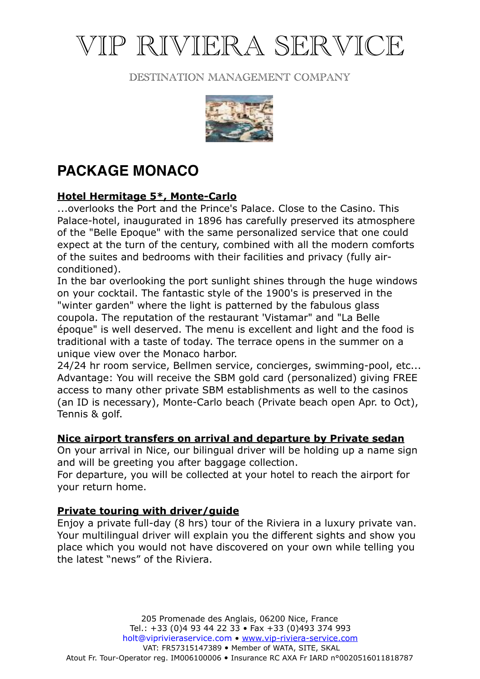# VIP RIVIERA SERVICE

### DESTINATION MANAGEMENT COMPANY



# **PACKAGE MONACO**

## **Hotel Hermitage 5\*, Monte-Carlo**

...overlooks the Port and the Prince's Palace. Close to the Casino. This Palace-hotel, inaugurated in 1896 has carefully preserved its atmosphere of the "Belle Epoque" with the same personalized service that one could expect at the turn of the century, combined with all the modern comforts of the suites and bedrooms with their facilities and privacy (fully airconditioned).

In the bar overlooking the port sunlight shines through the huge windows on your cocktail. The fantastic style of the 1900's is preserved in the "winter garden" where the light is patterned by the fabulous glass coupola. The reputation of the restaurant 'Vistamar" and "La Belle époque" is well deserved. The menu is excellent and light and the food is traditional with a taste of today. The terrace opens in the summer on a unique view over the Monaco harbor.

24/24 hr room service, Bellmen service, concierges, swimming-pool, etc... Advantage: You will receive the SBM gold card (personalized) giving FREE access to many other private SBM establishments as well to the casinos (an ID is necessary), Monte-Carlo beach (Private beach open Apr. to Oct), Tennis & golf.

#### **Nice airport transfers on arrival and departure by Private sedan**

On your arrival in Nice, our bilingual driver will be holding up a name sign and will be greeting you after baggage collection.

For departure, you will be collected at your hotel to reach the airport for your return home.

#### **Private touring with driver/guide**

Enjoy a private full-day (8 hrs) tour of the Riviera in a luxury private van. Your multilingual driver will explain you the different sights and show you place which you would not have discovered on your own while telling you the latest "news" of the Riviera.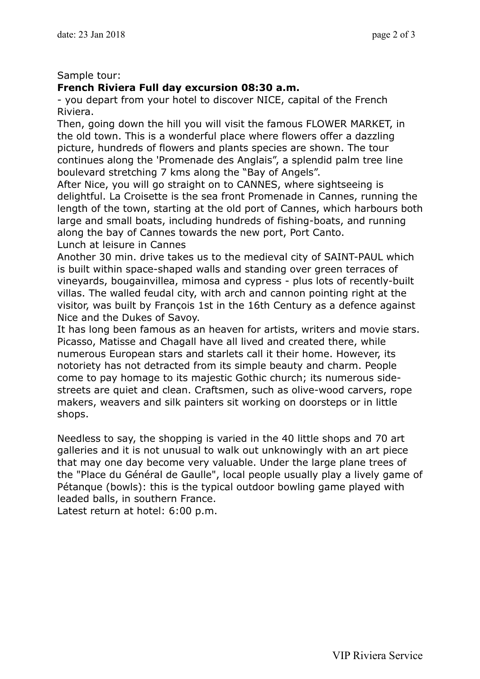#### Sample tour:

#### **French Riviera Full day excursion 08:30 a.m.**

- you depart from your hotel to discover NICE, capital of the French Riviera.

Then, going down the hill you will visit the famous FLOWER MARKET, in the old town. This is a wonderful place where flowers offer a dazzling picture, hundreds of flowers and plants species are shown. The tour continues along the 'Promenade des Anglais", a splendid palm tree line boulevard stretching 7 kms along the "Bay of Angels".

After Nice, you will go straight on to CANNES, where sightseeing is delightful. La Croisette is the sea front Promenade in Cannes, running the length of the town, starting at the old port of Cannes, which harbours both large and small boats, including hundreds of fishing-boats, and running along the bay of Cannes towards the new port, Port Canto.

Lunch at leisure in Cannes

Another 30 min. drive takes us to the medieval city of SAINT-PAUL which is built within space-shaped walls and standing over green terraces of vineyards, bougainvillea, mimosa and cypress - plus lots of recently-built villas. The walled feudal city, with arch and cannon pointing right at the visitor, was built by François 1st in the 16th Century as a defence against Nice and the Dukes of Savoy.

It has long been famous as an heaven for artists, writers and movie stars. Picasso, Matisse and Chagall have all lived and created there, while numerous European stars and starlets call it their home. However, its notoriety has not detracted from its simple beauty and charm. People come to pay homage to its majestic Gothic church; its numerous sidestreets are quiet and clean. Craftsmen, such as olive-wood carvers, rope makers, weavers and silk painters sit working on doorsteps or in little shops.

Needless to say, the shopping is varied in the 40 little shops and 70 art galleries and it is not unusual to walk out unknowingly with an art piece that may one day become very valuable. Under the large plane trees of the "Place du Général de Gaulle", local people usually play a lively game of Pétanque (bowls): this is the typical outdoor bowling game played with leaded balls, in southern France.

Latest return at hotel: 6:00 p.m.